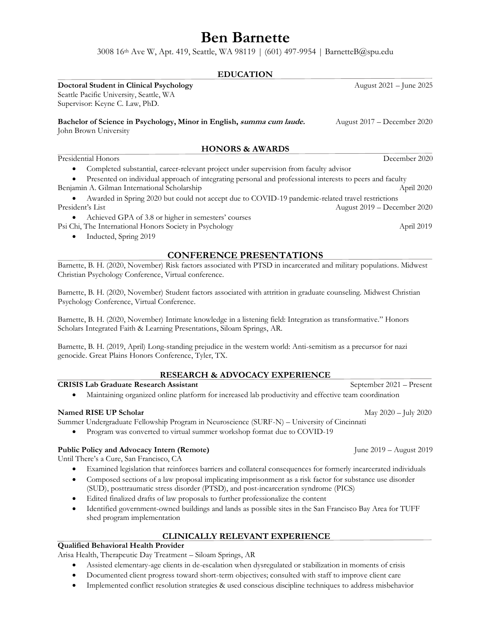# **Ben Barnette**

3008 16th Ave W, Apt. 419, Seattle, WA 98119 | (601) 497-9954 | BarnetteB@spu.edu

| <b>EDUCATION</b>                                                                                         |                               |
|----------------------------------------------------------------------------------------------------------|-------------------------------|
| Doctoral Student in Clinical Psychology<br>Seattle Pacific University, Seattle, WA                       | August 2021 – June 2025       |
| Supervisor: Keyne C. Law, PhD.                                                                           |                               |
| Bachelor of Science in Psychology, Minor in English, summa cum laude.<br>John Brown University           | August $2017 - December 2020$ |
| <b>HONORS &amp; AWARDS</b>                                                                               |                               |
| Presidential Honors                                                                                      | December 2020                 |
| Completed substantial, career-relevant project under supervision from faculty advisor                    |                               |
| Presented on individual approach of integrating personal and professional interests to peers and faculty |                               |
| Benjamin A. Gilman International Scholarship                                                             | April 2020                    |
| Awarded in Spring 2020 but could not accept due to COVID-19 pandemic-related travel restrictions         |                               |
| President's List                                                                                         | August $2019$ – December 2020 |
|                                                                                                          |                               |

• Achieved GPA of 3.8 or higher in semesters' courses

Psi Chi, The International Honors Society in Psychology and April 2019 April 2019

• Inducted, Spring 2019

#### **CONFERENCE PRESENTATIONS**

Barnette, B. H. (2020, November) Risk factors associated with PTSD in incarcerated and military populations. Midwest Christian Psychology Conference, Virtual conference.

Barnette, B. H. (2020, November) Student factors associated with attrition in graduate counseling. Midwest Christian Psychology Conference, Virtual Conference.

Barnette, B. H. (2020, November) Intimate knowledge in a listening field: Integration as transformative." Honors Scholars Integrated Faith & Learning Presentations, Siloam Springs, AR.

Barnette, B. H. (2019, April) Long-standing prejudice in the western world: Anti-semitism as a precursor for nazi genocide. Great Plains Honors Conference, Tyler, TX.

### **RESEARCH & ADVOCACY EXPERIENCE**

#### **CRISIS Lab Graduate Research Assistant** September 2021 – Present

• Maintaining organized online platform for increased lab productivity and effective team coordination

#### **Named RISE UP Scholar**  May 2020 – July 2020

Summer Undergraduate Fellowship Program in Neuroscience (SURF-N) – University of Cincinnati

• Program was converted to virtual summer workshop format due to COVID-19

### **Public Policy and Advocacy Intern (Remote)** June 2019 – August 2019

Until There's a Cure, San Francisco, CA

• Examined legislation that reinforces barriers and collateral consequences for formerly incarcerated individuals

- Composed sections of a law proposal implicating imprisonment as a risk factor for substance use disorder (SUD), posttraumatic stress disorder (PTSD), and post-incarceration syndrome (PICS)
- Edited finalized drafts of law proposals to further professionalize the content
- Identified government-owned buildings and lands as possible sites in the San Francisco Bay Area for TUFF shed program implementation

# **CLINICALLY RELEVANT EXPERIENCE**

### **Qualified Behavioral Health Provider**

Arisa Health, Therapeutic Day Treatment – Siloam Springs, AR

- Assisted elementary-age clients in de-escalation when dysregulated or stabilization in moments of crisis
- Documented client progress toward short-term objectives; consulted with staff to improve client care
- Implemented conflict resolution strategies & used conscious discipline techniques to address misbehavior